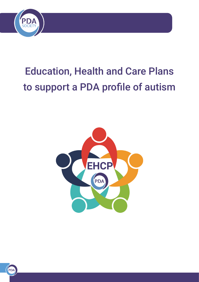

# Education, Health and Care Plans to support a PDA profile of autism



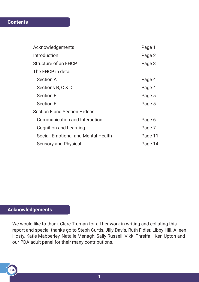# **Contents**

| Acknowledgements                     | Page 1  |
|--------------------------------------|---------|
| Introduction                         | Page 2  |
| Structure of an EHCP                 | Page 3  |
| The EHCP in detail                   |         |
| <b>Section A</b>                     | Page 4  |
| Sections B, C & D                    | Page 4  |
| <b>Section E</b>                     | Page 5  |
| <b>Section F</b>                     | Page 5  |
| Section E and Section F ideas        |         |
| <b>Communication and Interaction</b> | Page 6  |
| <b>Cognition and Learning</b>        | Page 7  |
| Social, Emotional and Mental Health  | Page 11 |
| <b>Sensory and Physical</b>          | Page 14 |

# **Acknowledgements**

PDA

We would like to thank Clare Truman for all her work in writing and collating this report and special thanks go to Steph Curtis, Jilly Davis, Ruth Fidler, Libby Hill, Aileen Hosty, Katie Mabberley, Natalie Menagh, Sally Russell, Vikki Threlfall, Ken Upton and our PDA adult panel for their many contributions.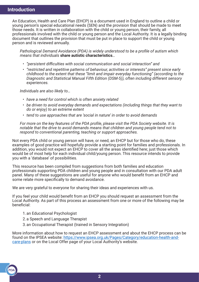An Education, Health and Care Plan (EHCP) is a document used in England to outline a child or young person's special educational needs (SEN) and the provision that should be made to meet those needs. It is written in collaboration with the child or young person, their family, all professionals involved with the child or young person and the Local Authority. It is a legally binding document that outlines the provision that must be put in place to support the child or young person and is reviewed annually.

*Pathological Demand Avoidance (PDA) is widely understood to be a profile of autism which means that individuals* **share autistic characteristics***…*

- *"persistent difficulties with social communication and social interaction" and*
- *"restricted and repetitive patterns of behaviour, activities or interests" present since early childhood to the extent that these "limit and impair everyday functioning" (according to the Diagnostic and Statistical Manual Fifth Edition (DSM-5)), often including different sensory experiences.*

*Individuals are also likely to…*

- *have a need for control which is often anxiety related*
- *be driven to avoid everyday demands and expectations (including things that they want to do or enjoy) to an extreme extent*
- *tend to use approaches that are 'social in nature' in order to avoid demands*

*For more on the key features of the PDA profile, please visit the PDA Society website. It is notable that the drive to avoid demands means that children and young people tend not to respond to conventional parenting, teaching or support approaches.*

Not every PDA child or young person will have, or need, an EHCP but for those who do, these examples of good practice will hopefully provide a starting point for families and professionals. In addition, you would not expect an EHCP to cover all the areas identified here; just those which would be of most help for each individual child/young person. This resource intends to provide you with a 'database' of possibilities.

This resource has been compiled from suggestions from both families and education professionals supporting PDA children and young people and in consultation with our PDA adult panel. Many of these suggestions are useful for anyone who would benefit from an EHCP and some relate more specifically to demand avoidance.

We are very grateful to everyone for sharing their ideas and experiences with us.

If you feel your child would benefit from an EHCP you should request an assessment from the Local Authority. As part of this process an assessment from one or more of the following may be beneficial:

- 1. an Educational Psychologist
- 2. a Speech and Language Therapist
- 3. an Occupational Therapist (trained in Sensory Integration)

More information about how to request an EHCP assessment and about the EHCP process can be found on the IPSEA website: [https://www.ipsea.org.uk/Pages/Category/education-health-and](https://www.ipsea.org.uk/Pages/Category/education-health-and-care-plans )[care-plans](https://www.ipsea.org.uk/Pages/Category/education-health-and-care-plans ) or on the Local Offer page of your Local Authority's website.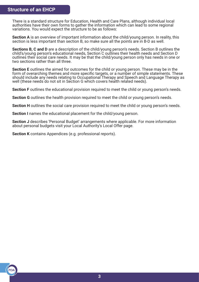# **Structure of an EHCP**

There is a standard structure for Education, Health and Care Plans, although individual local authorities have their own forms to gather the information which can lead to some regional variations. You would expect the structure to be as follows:

**Section A** is an overview of important information about the child/young person. In reality, this section is less important than section B, so make sure all the points are in B-D as well.

**Sections B, C and D** are a description of the child/young person's needs. Section B outlines the child's/young person's educational needs, Section C outlines their health needs and Section D outlines their social care needs. It may be that the child/young person only has needs in one or two sections rather than all three.

**Section E** outlines the aimed for outcomes for the child or young person. These may be in the form of overarching themes and more specific targets, or a number of simple statements. These should include any needs relating to Occupational Therapy and Speech and Language Therapy as well (these needs do not sit in Section G which covers health related needs).

**Section F** outlines the educational provision required to meet the child or young person's needs.

**Section G** outlines the health provision required to meet the child or young person's needs.

**Section H** outlines the social care provision required to meet the child or young person's needs.

**Section I** names the educational placement for the child/young person.

**Section J** describes 'Personal Budget' arrangements where applicable. For more information about personal budgets visit your Local Authority's Local Offer page.

**Section K** contains Appendices (e.g. professional reports).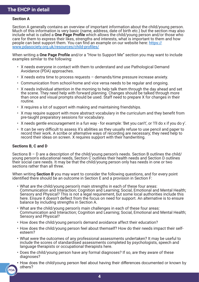#### **Section A**

Section A generally contains an overview of important information about the child/young person. Much of this information is very basic (name, address, date of birth etc.) but the section may also include what is called a **One Page Profile** which allows the child/young person and/or those who care for them to express their likes, strengths and interests, what is important to them and how people can best support them. You can find an example on our website here: [https://](https://www.pdasociety.org.uk/resources/child-profiles/) [www.pdasociety.org.uk/resources/child-profiles/](https://www.pdasociety.org.uk/resources/child-profiles/)

When writing a **One Page Profile** and/or a "How to Support Me" section you may want to include examples similar to the following:

- X needs everyone in contact with them to understand and use Pathological Demand Avoidance (PDA) approaches.
- X needs extra time to process requests demands/time pressure increase anxiety.
- Communication from school-home and vice versa needs to be regular and ongoing.
- X needs individual attention in the morning to help talk them through the day ahead and set the scene. They need help with forward planning. Changes should be talked through more than once and visual prompts should be used. Staff need to prepare X for changes in their routine.
- X requires a lot of support with making and maintaining friendships.
- X may require support with more abstract vocabulary in the curriculum and they benefit from pre-taught preparatory sessions for vocabulary.
- X needs gentle encouragement in a fun way for example: 'Bet you can't', or 'I'll do x if you do y'.
- It can be very difficult to assess X's abilities as they usually refuse to use pencil and paper to record their work. A scribe or alternative ways of recording are necessary; they need help to record their ideas on screen. X requires support with their handwriting.

# **Sections B, C and D**

PDA

Sections B – D are a description of the child/young person's needs. Section B outlines the child/ young person's educational needs, Section C outlines their health needs and Section D outlines their social care needs. It may be that the child/young person only has needs in one or two sections rather than all three.

When writing **Section B** you may want to consider the following questions, and for every point identified there should be an outcome in Section E and a provision in Section F:

- What are the child/young person's main strengths in each of these four areas: Communication and Interaction; Cognition and Learning; Social, Emotional and Mental Health; Sensory and Physical? This is not a legal requirement, but some local authorities include this here. Ensure it doesn't deflect from the focus on need for support. An alternative is to ensure balance by including strengths in Section A.
- What are the child/young person's main challenges in each of these four areas: Communication and Interaction; Cognition and Learning; Social, Emotional and Mental Health; Sensory and Physical?
- How does the child/young person's demand avoidance affect their education?
- How does the child/young person feel about themself? How do their needs impact their selfesteem?
- What were the outcomes of any professional assessments undertaken? It may be useful to include the scores of standardised assessments completed by psychologists, speech and language therapists or occupational therapists here.
- Does the child/young person have any formal diagnoses? If so, are they aware of these diagnoses?
- How does the child/young person feel about having their differences documented or known by others?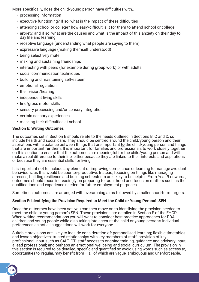More specifically, does the child/young person have difficulties with…

- processing information
- executive functioning? If so, what is the impact of these difficulties
- attending school or college? how easy/difficult is it for them to attend school or college
- anxiety, and if so, what are the causes and what is the impact of this anxiety on their day to day life and learning
- receptive language (understanding what people are saying to them)
- expressive language (making themself understood)
- being selectively mute
- making and sustaining friendships
- interacting with peers (for example during group work) or with adults
- social communication techniques
- building and maintaining self-esteem
- emotional regulation
- their vision/hearing
- independent living skills
- fine/gross motor skills
- sensory processing and/or sensory integration
- certain sensory experiences
- masking their difficulties at school

# **Section E: Writing Outcomes**

**PDA** 

The outcomes set in Section E should relate to the needs outlined in Sections B, C and D, so include health and social care. They should be centred around the child/young person and their aspirations with a balance between things that are important **to** the child/young person and things that are important **for** them. It is important for families and professionals to work closely together on this section to ensure that the outcomes are meaningful for the child/young person and will make a real difference to their life, either because they are linked to their interests and aspirations or because they are essential skills for living.

It is important not to include any element of improving compliance or learning to manage avoidant behaviours, as this would be counter-productive. Instead, focusing on things like managing stresses, building resilience and building self-esteem are likely to be helpful. From Year 9 onwards, outcomes should focus increasingly on preparing for adulthood and focus on matters such as the qualifications and experience needed for future employment purposes.

Sometimes outcomes are arranged with overarching aims followed by smaller short-term targets.

# **Section F: Identifying the Provision Required to Meet the Child or Young Person's SEN**

Once the outcomes have been set, you can then move on to identifying the provision needed to meet the child or young person's SEN. These provisions are detailed in Section F of the EHCP. When writing recommendations you will want to consider best practice approaches for PDA children and young people while also taking into account the child or young person's individual preferences as not all suggestions will work for everyone.

Suitable provisions are likely to include consideration of: personalised learning; flexible timetables and lesson objectives; trusted relationships with key members of staff; provision of key professional input such as SALT, OT; staff access to ongoing training, guidance and advisory input; a lead professional; and perhaps an emotional wellbeing and social curriculum. The provision in this section is required to be detailed, specific and quantified so avoid using words such as access to, opportunities to, regular, may benefit from  $-$  all of which are vague, ambiguous and unenforceable.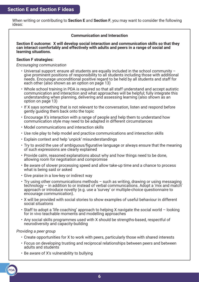When writing or contributing to **Section E** and **Section F**, you may want to consider the following ideas:

## **Communication and Interaction**

**Section E outcome: X will develop social interaction and communication skills so that they can interact comfortably and effectively with adults and peers in a range of social and learning situations.**

#### **Section F strategies:**

#### *Encouraging communication*

- Universal support: ensure all students are equally included in the school community give prominent positions of responsibility to all students including those with additional needs. Encourage unconditional positive regard to be held by all students and staff for each other (also shown as an option on page 13)
- Whole school training in PDA is required so that all staff understand and accept autistic communication and interaction and what approaches will be helpful; fully integrate this understanding when planning, delivering and assessing learning (also shown as an option on page 13)
- If X says something that is not relevant to the conversation, listen and respond before gently guiding them back onto the topic
- Encourage X's interaction with a range of people and help them to understand how communication style may need to be adapted in different circumstances
- Model communications and interaction skills
- Use role play to help model and practice communications and interaction skills
- Explain context and help 'unpick' misunderstandings
- Try to avoid the use of ambiguous/figurative language or always ensure that the meaning of such expressions are clearly explained
- Provide calm, reasoned explanations about why and how things need to be done, allowing room for negotiation and compromise
- Be aware of slower processing speed and allow take-up time and a chance to process what is being said or asked
- Give praise in a low-key or indirect way
- Try using other communications methods such as writing, drawing or using messaging technology – in addition to or instead of verbal communications. Adopt a 'mix and match' approach or introduce novelty (e.g. use a 'survey' or multiple-choice questionnaire to encourage communication).
- X will be provided with social stories to show examples of useful behaviour in different social situations
- Staff to adopt a 'life coaching' approach to helping X navigate the social world looking for in vivo teachable moments and modelling approaches
- Any social skills programmes used with X should be strengths-based, respectful of neurodiversity and capacity-building

*Providing a peer group*

- Create opportunities for X to work with peers, particularly those with shared interests
- Focus on developing trusting and reciprocal relationships between peers and between adults and students
- Be aware of X's vulnerability to bullying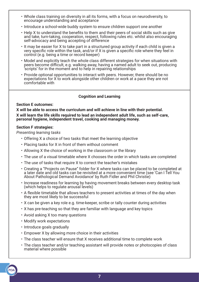- Whole class training on diversity in all its forms, with a focus on neurodiversity, to encourage understanding and acceptance
- Introduce a school-wide buddy system to ensure children support one another
- Help X to understand the benefits to them and their peers of social skills such as give and take, turn-taking, cooperation, respect, following rules etc. whilst also encouraging self-advocacy and being accepting of difference
- It may be easier for X to take part in a structured group activity if each child is given a very specific role within the task, and/or if X is given a specific role where they feel in control (e.g. being a time or record keeper)
- Model and explicitly teach the whole class different strategies for when situations with peers become difficult, e.g. walking away, having a named adult to seek out, producing 'scripts' for in the moment and to help in repairing relationships
- Provide optional opportunities to interact with peers. However, there should be no expectations for X to work alongside other children or work at a pace they are not comfortable with

## **Cognition and Learning**

#### **Section E outcomes:**

**X will be able to access the curriculum and will achieve in line with their potential. X will learn the life skills required to lead an independent adult life, such as self-care, personal hygiene, independent travel, cooking and managing money.**

#### **Section F strategies:**

*Presenting learning tasks*

- Offering X a choice of two tasks that meet the learning objective
- Placing tasks for X in front of them without comment
- Allowing X the choice of working in the classroom or the library
- The use of a visual timetable where X chooses the order in which tasks are completed
- The use of tasks that require X to correct the teacher's mistakes
- Creating a "Projects on Pause" folder for X where tasks can be placed to be completed at a later date and old tasks can be revisited at a more convenient time (see 'Can I Tell You About Pathological Demand Avoidance' by Ruth Fidler and Phil Christie)
- Increase readiness for learning by having movement breaks between every desktop task (which helps to regulate arousal levels)
- A flexible timetable that allows teachers to present activities at times of the day when they are most likely to be successful
- X can be given a key role e.g. time-keeper, scribe or tally counter during activities
- X has pre-teaching so that they are familiar with language and key topics
- Avoid asking X too many questions
- Modify work expectations
- Introduce goals gradually
- Empower X by allowing more choice in their activities
- The class teacher will ensure that X receives additional time to complete work
- The class teacher and/or teaching assistant will provide notes or photocopies of class material where possible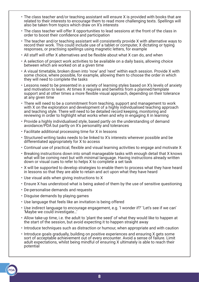- The class teacher and/or teaching assistant will ensure X is provided with books that are related to their interests to encourage them to read more challenging texts. Spellings will also be taken from topics which draw on X's interests
- The class teacher will offer X opportunities to lead sessions at the front of the class in order to boost their confidence and participation
- The teacher and/or teaching assistant will consistently provide X with alternative ways to record their work. This could include use of a tablet or computer, X dictating or typing responses, or practising spellings using magnetic letters, for example
- All staff will offer X alternatives and be flexible about what X can do, and when
- A selection of project work activities to be available on a daily basis, allowing choice between which are worked on at a given time
- A visual timetable, broken down into 'now' and 'next' within each session. Provide X with some choice, where possible, for example, allowing them to choose the order in which they will need to complete the tasks
- Lessons need to be presented in a variety of learning styles based on X's levels of anxiety and motivation to learn. At times X requires and benefits from a planned/template support and at other times a more flexible visual approach, depending on their tolerance at any given time
- There will need to be a commitment from teaching, support and management to work with X on the exploration and development of a highly individualised teaching approach and teaching style. There will need to be detailed record keeping, monitoring and reviewing in order to highlight what works when and why in engaging X in learning
- Provide a highly individualised style, based partly on the understanding of demand avoidance/PDA but partly on X's personality and tolerances
- Facilitate additional processing time for X in lessons
- Structured writing tasks needs to be linked to X's interests wherever possible and be differentiated appropriately for X to access
- Continual use of practical, flexible and visual learning activities to engage and motivate X
- Breaking instructions down into small manageable tasks with enough detail that X knows what will be coming next but with minimal language. Having instructions already written down or visual cues to refer to helps X to complete a set task
- X will be supported to develop strategies to enable them to process what they have heard in lessons so that they are able to retain and act upon what they have heard
- Use visual aids when giving instructions to X
- Ensure X has understood what is being asked of them by the use of sensitive questioning
- De-personalise demands and requests
- Disguise demands by playing games
- Use language that feels like an invitation is being offered
- Use indirect language to encourage engagement, e.g. 'I wonder if?' 'Let's see if we can' 'Maybe we could investigate…'
- Allow take-up time, i.e. the adult to 'plant the seed' of what they would like to happen at the start of the session, but avoid expecting it to happen straight away
- Introduce techniques such as distraction or humour, when appropriate and with caution
- Introduce goals gradually, building on positive experiences and ensuring X gets some sort of acceptable achievement out of every encounter. Avoid a sense of failure. Limit adult expectations, whilst being mindful of ensuring X ultimately is able to reach their potential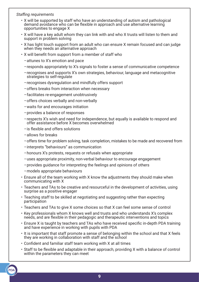## *Staffing requirements*

- X will be supported by staff who have an understanding of autism and pathological demand avoidance who can be flexible in approach and use alternative learning opportunities to engage X
- X will have a key adult whom they can link with and who X trusts will listen to them and support in problem solving
- X has light touch support from an adult who can ensure X remain focused and can judge when they needs an alternative approach
- X will benefit from support from a member of staff who
	- –attunes to X's emotion and pace
	- –responds appropriately to X's signals to foster a sense of communicative competence
	- –recognises and supports X's own strategies, behaviour, language and metacognitive strategies to self-regulate
	- –recognises dysregulation and mindfully offers support
	- –offers breaks from interaction when necessary
	- –facilitates re-engagement unobtrusively
	- –offers choices verbally and non-verbally
	- –waits for and encourages initiation
	- –provides a balance of responses
	- –respects X's wish and need for independence, but equally is available to respond and offer assistance before X becomes overwhelmed
	- –is flexible and offers solutions
	- –allows for breaks
	- –offers time for problem solving, task completion, mistakes to be made and recovered from
	- –interprets "behaviours" as communication
	- –honours X's protests, requests or refusals when appropriate
	- –uses appropriate proximity, non-verbal behaviour to encourage engagement
	- –provides guidance for interpreting the feelings and opinions of others
	- –models appropriate behaviours
- Ensure all of the team working with X know the adjustments they should make when communicating with X
- Teachers and TAs to be creative and resourceful in the development of activities, using surprise as a positive engager
- Teaching staff to be skilled at negotiating and suggesting rather than expecting participation
- Teachers and TAs to give X some choices so that X can feel some sense of control
- Key professionals whom X knows well and trusts and who understands X's complex needs, and are flexible in their pedagogic and therapeutic interventions and topics
- Ensure X is taught by teachers and TAs who have received specific in-depth PDA training and have experience in working with pupils with PDA
- It is important that staff promote a sense of belonging within the school and that X feels they are working in collaboration with staff and the school
- Confident and familiar staff team working with X at all times
- Staff to be flexible and adaptable in their approach, providing X with a balance of control within the parameters they can meet

**9**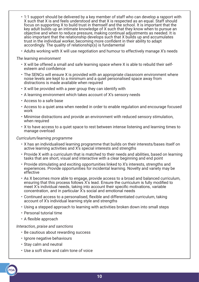- 1:1 support should be delivered by a key member of staff who can develop a rapport with X such that X is and feels understood and that X is respected as an equal. Staff should focus on supporting X to build trust in themself and the school. It is important that the key adult builds up an intimate knowledge of X such that they know when to pursue an objective and when to reduce pressure, making continual adjustments as needed. It is also important that the relationship develops such that X builds up and accumulates trust in the individual worker, becoming more confident in their ability to adapt accordingly. The quality of relationship(s) is fundamental
- Adults working with X will use negotiation and humour to effectively manage X's needs

#### *The learning environment*

- X will be offered a small and safe learning space where X is able to rebuild their selfesteem and confidence
- The SENCo will ensure X is provided with an appropriate classroom environment where noise levels are kept to a minimum and a quiet personalised space away from distractions is made available when required
- X will be provided with a peer group they can identify with
- A learning environment which takes account of X's sensory needs
- Access to a safe base
- Access to a quiet area when needed in order to enable regulation and encourage focused work
- Minimise distractions and provide an environment with reduced sensory stimulation, when required
- X to have access to a quiet space to rest between intense listening and learning times to manage overload

#### *Curriculum/learning programme*

- X has an individualised learning programme that builds on their interests/bases itself on active learning activities and X's special interests and strengths
- Provide X with a curriculum that is matched to their needs and abilities, based on learning tasks that are short, visual and interactive with a clear beginning and end point
- Provide stimulating and exciting opportunities linked to X's interests, strengths and experiences. Provide opportunities for incidental learning. Novelty and variety may be effective
- As X becomes more able to engage, provide access to a broad and balanced curriculum, ensuring that this process follows X's lead. Ensure the curriculum is fully modified to meet X's individual needs, taking into account their specific motivations, variable concentration, and in particular  $\bar{X}$ 's social and emotional needs
- Continued access to a personalised, flexible and differentiated curriculum, taking account of X's individual learning style and strengths
- Using a stepped approach to learning with activities broken down into small steps
- Personal tutorial time
- A flexible approach

#### *Interaction, praise and sanctions*

- Be cautious about rewarding success
- Ignore negative behaviours
- Stay calm and neutral
- Use a soft slow and calm tone of voice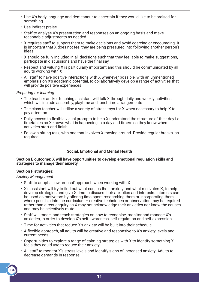- Use X's body language and demeanour to ascertain if they would like to be praised for something
- Use indirect praise
- Staff to analyse X's presentation and responses on an ongoing basis and make reasonable adjustments as needed
- X requires staff to support them to make decisions and avoid coercing or encouraging. It is important that X does not feel they are being pressured into following another person's ideas
- X should be fully included in all decisions such that they feel able to make suggestions, participate in discussions and have the final say
- Respect and valuing X is particularly important and this should be communicated by all adults working with X
- All staff to have positive interactions with X whenever possible, with an unmentioned emphasis on X's academic potential, to collaboratively develop a range of activities that will provide positive experiences

## *Preparing for learning*

- The teacher and/or teaching assistant will talk X through daily and weekly activities which will include assembly, playtime and lunchtime arrangements
- The class teacher will utilise a variety of stress toys for X when necessary to help X to pay attention
- Daily access to flexible visual prompts to help X understand the structure of their day i.e. timetables so X knows what is happening in a day and timers so they know when activities start and finish
- Follow a sitting task, with one that involves X moving around. Provide regular breaks, as required

# **Social, Emotional and Mental Health**

#### **Section E outcome: X will have opportunities to develop emotional regulation skills and strategies to manage their anxiety.**

# **Section F strategies**:

*Anxiety Management*

- Staff to adopt a 'low arousal' approach when working with X
- X's assistant will try to find out what causes their anxiety and what motivates X, to help develop strategies and give X time to discuss their anxieties and interests. Interests can be used as motivators by offering time spent researching them or incorporating them where possible into the curriculum  $-$  creative techniques or observation may be required rather than direct enquiry as X may not acknowledge their anxieties nor know the causes, and may be selectively mute.
- Staff will model and teach strategies on how to recognise, monitor and manage X's anxieties, in order to develop X's self-awareness, self-regulation and self-expression
- Time for activities that reduce X's anxiety will be built into their schedule
- A flexible approach, all adults will be creative and responsive to X's anxiety levels and current needs
- Opportunities to explore a range of calming strategies with X to identify something X feels they could use to reduce their anxiety
- All staff to monitor X's stress levels and identify signs of increased anxiety. Adults to decrease demands in response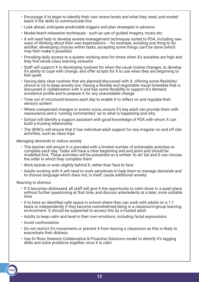- Encourage X to begin to identify their own stress levels and what they need, and model/ teach X the skills to communicate this
- Look ahead, anticipate predictable triggers and plan strategies in advance
- Model/teach relaxation techniques such as use of guided imagery, music etc.
- X will need help to develop anxiety-management techniques suited to PDA, including new ways of thinking about their own expectations – for example, avoiding one thing to do another, developing choices within tasks, accepting some things can't be done (which may then make it possible)
- Providing daily access to a quieter working area for times when X's anxieties are high and they find whole class learning stressful
- Staff will support X in developing routines for when the usual routine changes, to develop X's ability to cope with change, and offer scripts for X to use when they are beginning to feel upset
- Having daily clear routines that are planned/discussed with X, offering some flexibility/ choice to try to keep anxiety low. Having a flexible and negotiable visual timetable that is discussed in collaboration with X and has some flexibility to support X's demand avoidance profile and to prepare X for any unavoidable change
- Time out of structured lessons each day to enable X to reflect on and regulate their sensory system
- Where unexpected changes or events occur, ensure X's key adult can provide them with reassurance and a 'running commentary' as to what is happening and why
- School will identify a support assistant with good knowledge of PDA with whom X can build a trusting relationship
- The SENCo will ensure that X has individual adult support for any irregular on and off site activities, such as class trips

#### *Managing demands to reduce anxiety*

- The teacher will ensure X is provided with a limited number of achievable activities to complete each day. Tasks will have a clear beginning and end point and should be modelled first. These activities will be presented on a written 'to do' list and X can choose the order in which they complete them
- Work beside or even slightly behind X, rather than face to face
- Adults working with X will need to work sensitively to help them to manage demands and to choose language which does not, in itself, cause additional anxiety

#### *Reacting to distress*

- If X becomes distressed, all staff will give X the opportunity to calm down in a quiet place without further questioning at that time, and discuss antecedents at a later, more suitable time
- X to have an identified safe space in school where they can work with adults on a 1:1 basis or independently if they become overwhelmed being in a classroom/group learning environment. X should be supported to access this by a trusted adult
- Adults to keep calm and level in their own emotions, including facial expressions
- Avoid confrontation
- Do not restrict X's movements or prevent X from leaving a classroom as this is likely to exacerbate their distress
- Use Dr Ross Greene's Collaborative & Proactive Solutions model to identify X's lagging skills and solve problems together once X is calm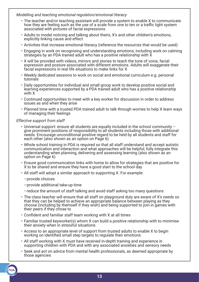## *Modelling and teaching emotional regulation/emotional literacy*

- The teacher and/or teaching assistant will provide a system to enable X to communicate how they are feeling such as the use of a scale from one to ten or a traffic light system associated with pictures of facial expressions
- Adults to model noticing and talking about theirs, X's and other children's emotions, explicitly linking cause and effect
- Activities that increase emotional literacy (reference the resources that would be used)
- Engaging in work on recognising and understanding emotions; including work on calming strategies by an PDA trained adult who has a positive relationship with X
- X will be provided with videos, mirrors and stories to teach the tone of voice, facial expression and posture associated with different emotions. Adults will exaggerate their facial expressions in real life situations to make links for X
- Weekly dedicated sessions to work on social and emotional curriculum e.g. personal tutorials
- Daily opportunities for individual and small group work to develop positive social and learning experiences supported by a PDA trained adult who has a positive relationship with X
- Continued opportunities to meet with a key worker for discussion in order to address issues as and when they arise
- Planned time with a trusted PDA trained adult to talk through worries to help X learn ways of managing their feelings

#### *Effective support from staff*

- Universal support: ensure all students are equally included in the school community give prominent positions of responsibility to all students including those with additional needs. Encourage unconditional positive regard to be held by all students and staff for each other (also shown as an option on Page 6)
- Whole school training in PDA is required so that all staff understand and accept autistic communication and interaction and what approaches will be helpful; fully integrate this understanding when planning, delivering and assessing learning (also shown as an option on Page 6)
- Ensure good communication links with home to allow for strategies that are positive for X to be shared and ensure they have a good start to the school day
- All staff will adopt a similar approach to supporting X. For example:
	- –provide choices
	- –provide additional take-up time
	- –reduce the amount of staff talking and avoid staff asking too many questions
- The class teacher will ensure that all staff on playground duty are aware of X's needs so that they can be helped to achieve an appropriate balance between playing as they choose (including by themself if they wish) and being supported to join in games with their peers if they chose to
- Confident and familiar staff team working with X at all times
- Familiar trusted keyworker(s) whom X can build a positive relationship with to minimise their anxiety when in stressful situations
- Access to an appropriate level of support from trusted adults to enable X to begin working on identified small step targets to regulate their emotions
- All staff working with X must have received in-depth training and experience in supporting children with PDA and with any associated anxieties and sensory needs
- Seek and act on advice from mental health professionals, as deemed appropriate by those agencies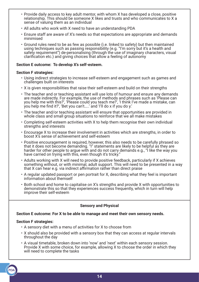- Provide daily access to key adult mentor, with whom X has developed a close, positive relationship. This should be someone X likes and trusts and who communicates to X a sense of valuing them as an individual
- All adults who work with X need to have an understanding PDA
- Ensure staff are aware of X's needs so that expectations are appropriate and demands minimised
- Ground rules need to be as few as possible (i.e. linked to safety) but then maintained using techniques such as passing responsibility (e.g. "I'm sorry but it's a health and safety requirement") de-personalising (through the use of imaginary characters, visual clarification etc.) and giving choices that allow a feeling of autonomy

#### **Section E outcome: To develop X's self-esteem.**

## **Section F strategies:**

- Using indirect strategies to increase self-esteem and engagement such as games and challenges built on interests
- X is given responsibilities that raise their self-esteem and build on their strengths
- The teacher and or teaching assistant will use lots of humour and ensure any demands are made indirectly. For example, the use of methods and phrases such as 'Please can you help me with this?', 'Please could you teach me?', 'I think I've made a mistake, can you help me find it?', 'Bet you can't…..' and 'I'll do x if you do y.'
- The teacher and/or teaching assistant will ensure that opportunities are provided in whole class and small group situations to reinforce that we all make mistakes
- Completing self-esteem activities with X to help them recognise their own individual strengths and interests
- Encourage X to increase their involvement in activities which are strengths, in order to boost X's sense of achievement and self-esteem
- Positive encouragement is required, however, this also needs to be carefully phrased so that it does not become demanding. "I" statements are likely to be helpful as they are harder for other people to argue with and do not carry demands e.g., "I like the way you have carried on trying with this, even though it's tricky."
- Adults working with X will need to provide positive feedback, particularly if X achieves something without, or with minimal, adult support. This will need to be presented in a way that X can hear e.g. via indirect affirmation rather than direct praise
- A regular updated passport or pen portrait for X, describing what they feel is important information about themself
- Both school and home to capitalise on X's strengths and provide X with opportunities to demonstrate this so that they experiences success frequently, which in turn will help improve their self-esteem

#### **Sensory and Physical**

#### **Section E outcome: For X to be able to manage and meet their own sensory needs.**

#### **Section F strategies:**

- A sensory diet with a menu of activities for X to choose from
- X should also be provided with a sensory box that they can access at regular intervals throughout the day
- A visual timetable, broken down into 'now' and 'next' within each sensory session. Provide X with some choice, for example, allowing X to choose the order in which they will need to complete the tasks